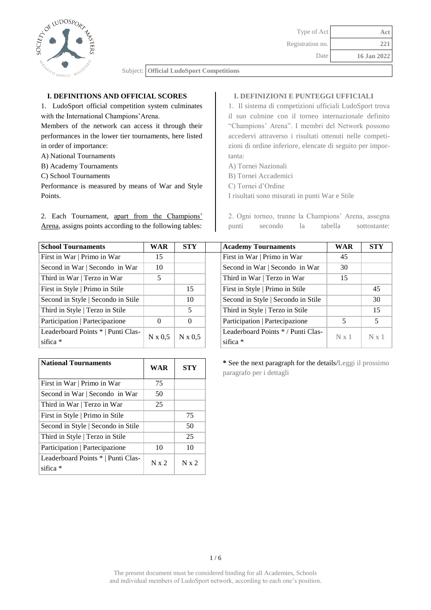

# **I. DEFINITIONS AND OFFICIAL SCORES**

1. LudoSport official competition system culminates with the International Champions'Arena.

Members of the network can access it through their performances in the lower tier tournaments, here listed in order of importance:

- A) National Tournaments
- B) Academy Tournaments
- C) School Tournaments

Performance is measured by means of War and Style Points.

2. Each Tournament, apart from the Champions' Arena, assigns points according to the following tables:

## **I. DEFINIZIONI E PUNTEGGI UFFICIALI**

1. Il sistema di competizioni ufficiali LudoSport trova il suo culmine con il torneo internazionale definito "Champions' Arena". I membri del Network possono accedervi attraverso i risultati ottenuti nelle competizioni di ordine inferiore, elencate di seguito per importanta:

- A) Tornei Nazionali
- B) Tornei Accademici
- C) Tornei d'Ordine

I risultati sono misurati in punti War e Stile

2. Ogni torneo, tranne la Champions' Arena, assegna punti secondo la tabella sottostante:

**School Tournaments WAR STY Academy Tournaments WAR STY**

| <b>School Tournaments</b>          | WAR            | <b>STY</b>     | <b>Academy Tournaments</b>         | <b>WAR</b>   | <b>ST</b> |
|------------------------------------|----------------|----------------|------------------------------------|--------------|-----------|
| First in War   Primo in War        | 15             |                | First in War   Primo in War        | 45           |           |
| Second in War   Secondo in War     | 10             |                | Second in War   Secondo in War     | 30           |           |
| Third in War   Terzo in War        | 5              |                | Third in War   Terzo in War        | 15           |           |
| First in Style   Primo in Stile    |                | 15             | First in Style   Primo in Stile    |              | 45        |
| Second in Style   Secondo in Stile |                | 10             | Second in Style   Secondo in Stile |              | 30        |
| Third in Style   Terzo in Stile    |                | 5              | Third in Style   Terzo in Stile    |              | 15        |
| Participation   Partecipazione     | $\overline{0}$ | $\Omega$       | Participation   Partecipazione     | 5            | 5         |
| Leaderboard Points *   Punti Clas- |                | $N \times 0.5$ | Leaderboard Points */Punti Clas-   | $N \times 1$ | N x       |
| sifica *                           | $N \times 0.5$ |                | sifica $*$                         |              |           |

| First in War   Primo in War                    | 45           |              |
|------------------------------------------------|--------------|--------------|
| Second in War   Secondo in War                 | 30           |              |
| Third in War   Terzo in War                    | 15           |              |
| First in Style   Primo in Stile                |              | 45           |
| Second in Style   Secondo in Stile             |              | 30           |
| Third in Style   Terzo in Stile                |              | 15           |
| Participation   Partecipazione                 | 5.           | 5            |
| Leaderboard Points */Punti Clas-<br>sifica $*$ | $N \times 1$ | $N \times 1$ |

| <b>National Tournaments</b>                      | <b>WAR</b>   | STY       |
|--------------------------------------------------|--------------|-----------|
| First in War   Primo in War                      | 75           |           |
| Second in War   Secondo in War                   | 50           |           |
| Third in War   Terzo in War                      | 25           |           |
| First in Style   Primo in Stile                  |              | 75        |
| Second in Style   Secondo in Stile               |              | 50        |
| Third in Style   Terzo in Stile                  |              | 25        |
| Participation   Partecipazione                   | 10           | 10        |
| Leaderboard Points *   Punti Clas-<br>sifica $*$ | $N \times 2$ | $N_{x}$ 2 |

**\*** See the next paragraph for the details/Leggi il prossimo paragrafo per i dettagli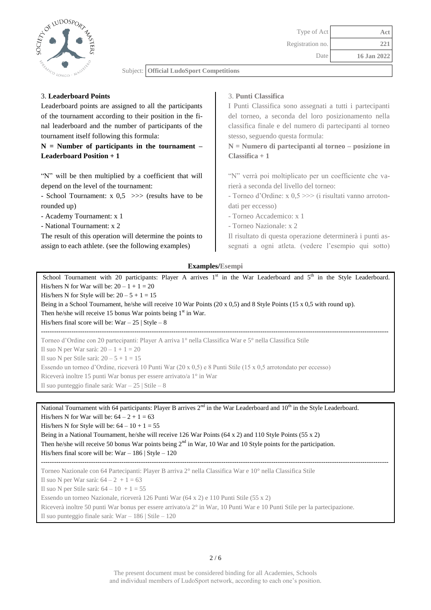

## 3. **Leaderboard Points**

Leaderboard points are assigned to all the participants of the tournament according to their position in the final leaderboard and the number of participants of the tournament itself following this formula:

# **N = Number of participants in the tournament – Leaderboard Position + 1**

"N" will be then multiplied by a coefficient that will depend on the level of the tournament:

- School Tournament:  $x \le 0.5 \implies$  (results have to be rounded up)

- Academy Tournament: x 1

- National Tournament: x 2

The result of this operation will determine the points to assign to each athlete. (see the following examples)

## 3. **Punti Classifica**

I Punti Classifica sono assegnati a tutti i partecipanti del torneo, a seconda del loro posizionamento nella classifica finale e del numero di partecipanti al torneo stesso, seguendo questa formula:

**N = Numero di partecipanti al torneo – posizione in Classifica + 1**

"N" verrà poi moltiplicato per un coefficiente che varierà a seconda del livello del torneo:

- Torneo d'Ordine: x 0,5 >>> (i risultati vanno arrotondati per eccesso)

- Torneo Accademico: x 1
- Torneo Nazionale: x 2

Il risultato di questa operazione determinerà i punti assegnati a ogni atleta. (vedere l'esempio qui sotto)

#### **Examples/Esempi**

School Tournament with 20 participants: Player A arrives  $1<sup>st</sup>$  in the War Leaderboard and  $5<sup>th</sup>$  in the Style Leaderboard. His/hers N for War will be:  $20 - 1 + 1 = 20$ His/hers N for Style will be:  $20 - 5 + 1 = 15$ Being in a School Tournament, he/she will receive 10 War Points (20 x 0,5) and 8 Style Points (15 x 0,5 with round up). Then he/she will receive 15 bonus War points being  $1<sup>st</sup>$  in War. His/hers final score will be:  $War - 25$  | Style – 8 ----------------------------------------------------------------------------------------------------------------------------------------------------------------

Torneo d'Ordine con 20 partecipanti: Player A arriva 1° nella Classifica War e 5° nella Classifica Stile Il suo N per War sarà:  $20 - 1 + 1 = 20$ 

Il suo N per Stile sarà:  $20 - 5 + 1 = 15$ 

Essendo un torneo d'Ordine, riceverà 10 Punti War (20 x 0,5) e 8 Punti Stile (15 x 0,5 arrotondato per eccesso)

Riceverà inoltre 15 punti War bonus per essere arrivato/a 1° in War

Il suo punteggio finale sarà: War – 25 | Stile – 8

National Tournament with 64 participants: Player B arrives 2<sup>nd</sup> in the War Leaderboard and 10<sup>th</sup> in the Style Leaderboard. His/hers N for War will be:  $64 - 2 + 1 = 63$ 

His/hers N for Style will be:  $64 - 10 + 1 = 55$ 

Being in a National Tournament, he/she will receive 126 War Points (64 x 2) and 110 Style Points (55 x 2) Then he/she will receive 50 bonus War points being  $2<sup>nd</sup>$  in War, 10 War and 10 Style points for the participation. His/hers final score will be: War – 186 | Style – 120

---------------------------------------------------------------------------------------------------------------------------------------------------------------- Torneo Nazionale con 64 Partecipanti: Player B arriva 2° nella Classifica War e 10° nella Classifica Stile Il suo N per War sarà:  $64 - 2 + 1 = 63$ Il suo N per Stile sarà:  $64 - 10 + 1 = 55$ 

Essendo un torneo Nazionale, riceverà 126 Punti War (64 x 2) e 110 Punti Stile (55 x 2) Riceverà inoltre 50 punti War bonus per essere arrivato/a 2° in War, 10 Punti War e 10 Punti Stile per la partecipazione.

Il suo punteggio finale sarà: War – 186 | Stile – 120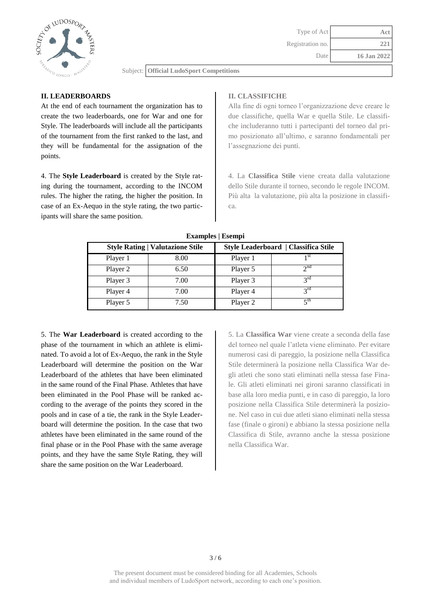

## **II. LEADERBOARDS**

At the end of each tournament the organization has to create the two leaderboards, one for War and one for Style. The leaderboards will include all the participants of the tournament from the first ranked to the last, and they will be fundamental for the assignation of the points.

4. The **Style Leaderboard** is created by the Style rating during the tournament, according to the INCOM rules. The higher the rating, the higher the position. In case of an Ex-Aequo in the style rating, the two participants will share the same position.

# **II. CLASSIFICHE**

Alla fine di ogni torneo l'organizzazione deve creare le due classifiche, quella War e quella Stile. Le classifiche includeranno tutti i partecipanti del torneo dal primo posizionato all'ultimo, e saranno fondamentali per l'assegnazione dei punti.

4. La **Classifica Stile** viene creata dalla valutazione dello Stile durante il torneo, secondo le regole INCOM. Più alta la valutazione, più alta la posizione in classifica.

|          | <b>Style Rating   Valutazione Stile</b> | Style Leaderboard   Classifica Stile |                       |  |
|----------|-----------------------------------------|--------------------------------------|-----------------------|--|
| Player 1 | 8.00                                    | Player 1                             | 1 st                  |  |
| Player 2 | 6.50                                    | Player 5                             | 2 <sup>nd</sup>       |  |
| Player 3 | 7.00                                    | Player 3                             | $2^{\text{rd}}$       |  |
| Player 4 | 7.00                                    | Player 4                             | $2^{\text{rd}}$       |  |
| Player 5 | 7.50                                    | Player 2                             | $\zeta$ <sup>th</sup> |  |

**Examples | Esempi**

5. The **War Leaderboard** is created according to the phase of the tournament in which an athlete is eliminated. To avoid a lot of Ex-Aequo, the rank in the Style Leaderboard will determine the position on the War Leaderboard of the athletes that have been eliminated in the same round of the Final Phase. Athletes that have been eliminated in the Pool Phase will be ranked according to the average of the points they scored in the pools and in case of a tie, the rank in the Style Leaderboard will determine the position. In the case that two athletes have been eliminated in the same round of the final phase or in the Pool Phase with the same average points, and they have the same Style Rating, they will share the same position on the War Leaderboard.

5. La **Classifica War** viene create a seconda della fase del torneo nel quale l'atleta viene eliminato. Per evitare numerosi casi di pareggio, la posizione nella Classifica Stile determinerà la posizione nella Classifica War degli atleti che sono stati eliminati nella stessa fase Finale. Gli atleti eliminati nei gironi saranno classificati in base alla loro media punti, e in caso di pareggio, la loro posizione nella Classifica Stile determinerà la posizione. Nel caso in cui due atleti siano eliminati nella stessa fase (finale o gironi) e abbiano la stessa posizione nella Classifica di Stile, avranno anche la stessa posizione nella Classifica War.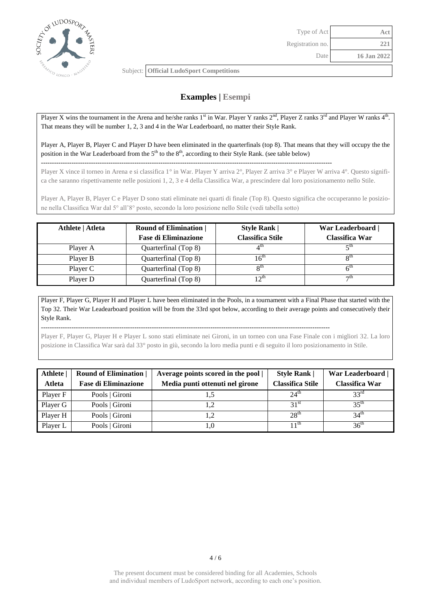

--------------------------------------------------------------------------------------------------------------------------------------

# **Examples | Esempi**

Player X wins the tournament in the Arena and he/she ranks  $1<sup>st</sup>$  in War. Player Y ranks  $2<sup>nd</sup>$ , Player Z ranks  $3<sup>rd</sup>$  and Player W ranks  $4<sup>th</sup>$ . That means they will be number 1, 2, 3 and 4 in the War Leaderboard, no matter their Style Rank.

Player A, Player B, Player C and Player D have been eliminated in the quarterfinals (top 8). That means that they will occupy the the position in the War Leaderboard from the  $5<sup>th</sup>$  to the  $8<sup>th</sup>$ , according to their Style Rank. (see table below)

Player X vince il torneo in Arena e si classifica 1° in War. Player Y arriva 2°, Player Z arriva 3° e Player W arriva 4°. Questo significa che saranno rispettivamente nelle posizioni 1, 2, 3 e 4 della Classifica War, a prescindere dal loro posizionamento nello Stile.

Player A, Player B, Player C e Player D sono stati eliminate nei quarti di finale (Top 8). Questo significa che occuperanno le posizione nella Classifica War dal 5° all'8° posto, secondo la loro posizione nello Stile (vedi tabella sotto)

| Athlete   Atleta | <b>Round of Elimination</b><br><b>Fase di Eliminazione</b> | <b>Style Rank</b><br>Classifica Stile | War Leaderboard  <br>Classifica War |
|------------------|------------------------------------------------------------|---------------------------------------|-------------------------------------|
| Player A         | Quarterfinal (Top 8)                                       |                                       | ξth                                 |
| Player B         | Quarterfinal (Top 8)                                       | $16^{\rm m}$                          | $\mathbf{Q}$ th                     |
| Player C         | Quarterfinal (Top 8)                                       | $\mathbf{Q}^{\text{th}}$              | $6^{\text{th}}$                     |
| Player D         | Quarterfinal (Top 8)                                       | 17 $m$                                | $\neg$ tn                           |

Player F, Player G, Player H and Player L have been eliminated in the Pools, in a tournament with a Final Phase that started with the Top 32. Their War Leadearboard position will be from the 33rd spot below, according to their average points and consecutively their Style Rank.

Player F, Player G, Player H e Player L sono stati eliminate nei Gironi, in un torneo con una Fase Finale con i migliori 32. La loro posizione in Classifica War sarà dal 33° posto in giù, secondo la loro media punti e di seguito il loro posizionamento in Stile.

-------------------------------------------------------------------------------------------------------------------------------------

| <b>Athlete</b><br><b>Atleta</b> | <b>Round of Elimination</b><br><b>Fase di Eliminazione</b> | Average points scored in the pool  <br>Media punti ottenuti nel girone | <b>Style Rank  </b><br><b>Classifica Stile</b> | War Leaderboard  <br><b>Classifica War</b> |
|---------------------------------|------------------------------------------------------------|------------------------------------------------------------------------|------------------------------------------------|--------------------------------------------|
| Player F                        | Pools   Gironi                                             | L.S                                                                    | $24^{\text{th}}$                               | 33 <sup>rd</sup>                           |
| Player G                        | Pools   Gironi                                             | 1,2                                                                    | 31 <sup>st</sup>                               | 35 <sup>th</sup>                           |
| Player H                        | Pools   Gironi                                             | 1,2                                                                    | 28 <sup>th</sup>                               | 34 <sup>th</sup>                           |
| Player L                        | Pools   Gironi                                             | 1,0                                                                    | 1 1 <sup>th</sup>                              | 36 <sup>th</sup>                           |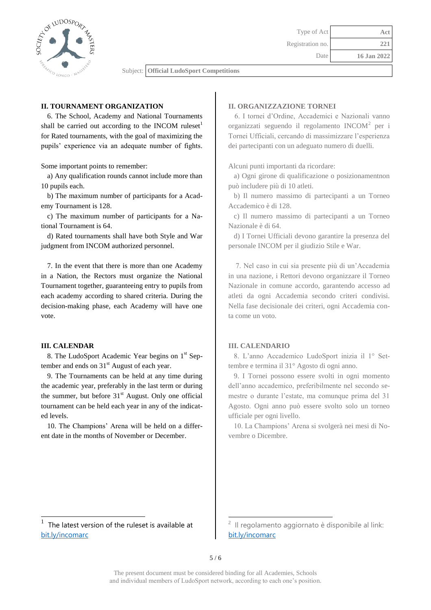

#### **II. TOURNAMENT ORGANIZATION**

6. The School, Academy and National Tournaments shall be carried out according to the INCOM ruleset<sup>1</sup> for Rated tournaments, with the goal of maximizing the pupils' experience via an adequate number of fights.

Some important points to remember:

a) Any qualification rounds cannot include more than 10 pupils each.

b) The maximum number of participants for a Academy Tournament is 128.

c) The maximum number of participants for a National Tournament is 64.

d) Rated tournaments shall have both Style and War judgment from INCOM authorized personnel.

7. In the event that there is more than one Academy in a Nation, the Rectors must organize the National Tournament together, guaranteeing entry to pupils from each academy according to shared criteria. During the decision-making phase, each Academy will have one vote.

#### **III. CALENDAR**

l

8. The LudoSport Academic Year begins on 1<sup>st</sup> September and ends on  $31<sup>st</sup>$  August of each year.

9. The Tournaments can be held at any time during the academic year, preferably in the last term or during the summer, but before  $31<sup>st</sup>$  August. Only one official tournament can be held each year in any of the indicated levels.

10. The Champions' Arena will be held on a different date in the months of November or December.

#### **II. ORGANIZZAZIONE TORNEI**

6. I tornei d'Ordine, Accademici e Nazionali vanno organizzati seguendo il regolamento INCOM<sup>2</sup> per i Tornei Ufficiali, cercando di massimizzare l'esperienza dei partecipanti con un adeguato numero di duelli.

Alcuni punti importanti da ricordare:

 a) Ogni girone di qualificazione o posizionamentnon può includere più di 10 atleti.

 b) Il numero massimo di partecipanti a un Torneo Accademico è di 128.

 c) Il numero massimo di partecipanti a un Torneo Nazionale è di 64.

 d) I Tornei Ufficiali devono garantire la presenza del personale INCOM per il giudizio Stile e War.

 7. Nel caso in cui sia presente più di un'Accademia in una nazione, i Rettori devono organizzare il Torneo Nazionale in comune accordo, garantendo accesso ad atleti da ogni Accademia secondo criteri condivisi. Nella fase decisionale dei criteri, ogni Accademia conta come un voto.

#### **III. CALENDARIO**

 8. L'anno Accademico LudoSport inizia il 1° Settembre e termina il 31° Agosto di ogni anno.

 9. I Tornei possono essere svolti in ogni momento dell'anno accademico, preferibilmente nel secondo semestre o durante l'estate, ma comunque prima del 31 Agosto. Ogni anno può essere svolto solo un torneo ufficiale per ogni livello.

 10. La Champions' Arena si svolgerà nei mesi di Novembre o Dicembre.

l

<sup>1</sup> The latest version of the ruleset is available at <bit.ly/incomarc>

<sup>2</sup> Il regolamento aggiornato è disponibile al link: <bit.ly/incomarc>